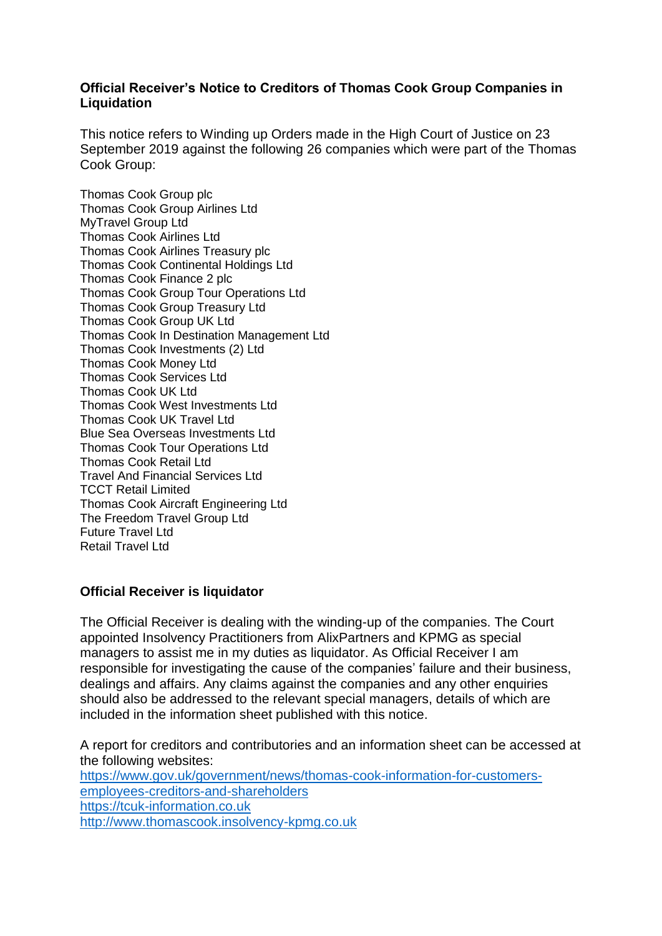### **Official Receiver's Notice to Creditors of Thomas Cook Group Companies in Liquidation**

This notice refers to Winding up Orders made in the High Court of Justice on 23 September 2019 against the following 26 companies which were part of the Thomas Cook Group:

Thomas Cook Group plc Thomas Cook Group Airlines Ltd MyTravel Group Ltd Thomas Cook Airlines Ltd Thomas Cook Airlines Treasury plc Thomas Cook Continental Holdings Ltd Thomas Cook Finance 2 plc Thomas Cook Group Tour Operations Ltd Thomas Cook Group Treasury Ltd Thomas Cook Group UK Ltd Thomas Cook In Destination Management Ltd Thomas Cook Investments (2) Ltd Thomas Cook Money Ltd Thomas Cook Services Ltd Thomas Cook UK Ltd Thomas Cook West Investments Ltd Thomas Cook UK Travel Ltd Blue Sea Overseas Investments Ltd Thomas Cook Tour Operations Ltd Thomas Cook Retail Ltd Travel And Financial Services Ltd TCCT Retail Limited Thomas Cook Aircraft Engineering Ltd The Freedom Travel Group Ltd Future Travel Ltd Retail Travel Ltd

# **Official Receiver is liquidator**

The Official Receiver is dealing with the winding-up of the companies. The Court appointed Insolvency Practitioners from AlixPartners and KPMG as special managers to assist me in my duties as liquidator. As Official Receiver I am responsible for investigating the cause of the companies' failure and their business, dealings and affairs. Any claims against the companies and any other enquiries should also be addressed to the relevant special managers, details of which are included in the information sheet published with this notice.

A report for creditors and contributories and an information sheet can be accessed at the following websites:

[https://www.gov.uk/government/news/thomas-cook-information-for-customers](https://urldefense.proofpoint.com/v2/url?u=https-3A__www.gov.uk_government_news_thomas-2Dcook-2Dinformation-2Dfor-2Dcustomers-2Demployees-2Dcreditors-2Dand-2Dshareholders&d=DwMGaQ&c=LbONZuVfeX9r3BKVI3DiW15ySOqOCs2yRrcUdzld8D4&r=9WpWikbre_Dr_6sQuLO67NCzb-8-ijTm2e-dBuf4cHs&m=aeTAN7VBLDtcyCNWJjvk7Wh3ay9NukULMdkzpuSeL6A&s=qETNwoxy8bik4p7LhZAnIq2T7JLAqM5pMJqoFdNuBsY&e=)[employees-creditors-and-shareholders](https://urldefense.proofpoint.com/v2/url?u=https-3A__www.gov.uk_government_news_thomas-2Dcook-2Dinformation-2Dfor-2Dcustomers-2Demployees-2Dcreditors-2Dand-2Dshareholders&d=DwMGaQ&c=LbONZuVfeX9r3BKVI3DiW15ySOqOCs2yRrcUdzld8D4&r=9WpWikbre_Dr_6sQuLO67NCzb-8-ijTm2e-dBuf4cHs&m=aeTAN7VBLDtcyCNWJjvk7Wh3ay9NukULMdkzpuSeL6A&s=qETNwoxy8bik4p7LhZAnIq2T7JLAqM5pMJqoFdNuBsY&e=) [https://tcuk-information.co.uk](https://tcuk-information.co.uk/) [http://www.thomascook.insolvency-kpmg.co.uk](http://www.thomascook.insolvency-kpmg.co.uk/)